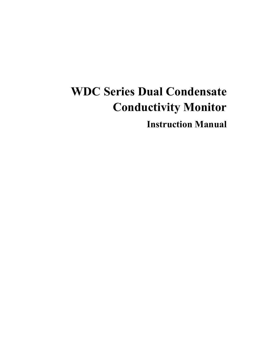# **WDC Series Dual Condensate Conductivity Monitor**

**Instruction Manual**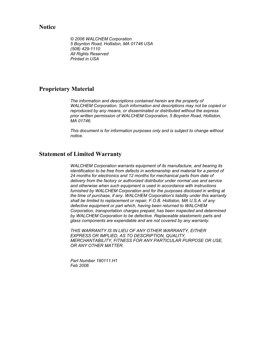**Notice**

*© 2006 WALCHEM Corporation 5 Boynton Road, Holliston, MA 01746 USA (508) 429-1110 All Rights Reserved Printed in USA*

#### **Proprietary Material**

*The information and descriptions contained herein are the property of WALCHEM Corporation. Such information and descriptions may not be copied or reproduced by any means, or disseminated or distributed without the express prior written permission of WALCHEM Corporation, 5 Boynton Road, Holliston, MA 01746.* 

*This document is for information purposes only and is subject to change without notice.* 

#### **Statement of Limited Warranty**

*WALCHEM Corporation warrants equipment of its manufacture, and bearing its identification to be free from defects in workmanship and material for a period of 24 months for electronics and 12 months for mechanical parts from date of delivery from the factory or authorized distributor under normal use and service and otherwise when such equipment is used in accordance with instructions furnished by WALCHEM Corporation and for the purposes disclosed in writing at the time of purchase, if any. WALCHEM Corporation's liability under this warranty shall be limited to replacement or repair, F.O.B. Holliston, MA U.S.A. of any defective equipment or part which, having been returned to WALCHEM Corporation, transportation charges prepaid, has been inspected and determined by WALCHEM Corporation to be defective. Replaceable elastomeric parts and glass components are expendable and are not covered by any warranty.* 

*THIS WARRANTY IS IN LIEU OF ANY OTHER WARRANTY, EITHER EXPRESS OR IMPLIED, AS TO DESCRIPTION, QUALITY, MERCHANTABILITY, FITNESS FOR ANY PARTICULAR PURPOSE OR USE, OR ANY OTHER MATTER.* 

*Part Number 180111.H1 Feb 2006*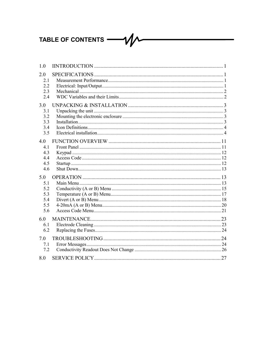### TABLE OF CONTENTS -

| 1.0                                           |  |
|-----------------------------------------------|--|
| 2.0<br>2.1<br>2.2<br>2.3<br>2.4               |  |
| 3.0<br>3.1<br>3.2<br>3.3<br>3.4<br>3.5        |  |
| 4.0<br>4.1<br>4.3<br>4.4<br>4.5<br>4.6        |  |
| 5.0<br>5.1<br>5.2<br>5.3<br>5.4<br>5.5<br>5.6 |  |
| 6.0<br>6.1<br>6.2                             |  |
| 7.0<br>7.1<br>7.2                             |  |
| 8.0                                           |  |

 ${\cal W}$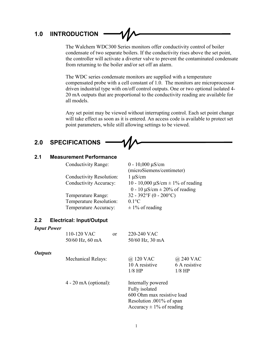### **1.0 IINTRODUCTION**

The Walchem WDC300 Series monitors offer conductivity control of boiler condensate of two separate boilers. If the conductivity rises above the set point, the controller will activate a diverter valve to prevent the contaminated condensate from returning to the boiler and/or set off an alarm.

The WDC series condensate monitors are supplied with a temperature compensated probe with a cell constant of 1.0. The monitors are microprocessor driven industrial type with on/off control outputs. One or two optional isolated 4- 20 mA outputs that are proportional to the conductivity reading are available for all models.

Any set point may be viewed without interrupting control. Each set point change will take effect as soon as it is entered. An access code is available to protect set point parameters, while still allowing settings to be viewed.

### **2.0 SPECIFICATIONS**

#### **2.1 Measurement Performance**

Conductivity Range: 0 - 10,000  $\mu$ S/cm

Conductivity Resolution: 1 µS/cm

Temperature Range: 32 - 392°F (0 - 200°C) Temperature Resolution: 0.1°C Temperature Accuracy:  $\pm 1\%$  of reading

 (microSiemens/centimeter) Conductivity Accuracy:  $10 - 10,000 \mu S/cm \pm 1\%$  of reading 0 - 10  $\mu$ S/cm  $\pm$  20% of reading

#### **2.2 Electrical: Input/Output**

#### *Input Power*

|                       | 110-120 VAC<br><sub>or</sub><br>50/60 Hz, 60 mA | 220-240 VAC<br>50/60 Hz, 30 mA                                                                                                 |                           |
|-----------------------|-------------------------------------------------|--------------------------------------------------------------------------------------------------------------------------------|---------------------------|
| <i><b>Outputs</b></i> | <b>Mechanical Relays:</b>                       | @ 120 VAC                                                                                                                      | @ 240 VAC                 |
|                       |                                                 | 10 A resistive<br>$1/8$ HP                                                                                                     | 6 A resistive<br>$1/8$ HP |
|                       | $4 - 20$ mA (optional):                         | Internally powered<br>Fully isolated<br>600 Ohm max resistive load<br>Resolution .001% of span<br>Accuracy $\pm$ 1% of reading |                           |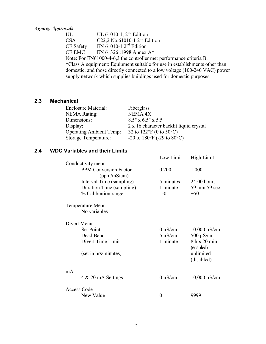#### *Agency Approvals*

UL  $UL$  UL 61010-1,  $2<sup>nd</sup>$  Edition CSA  $C22,2$  No.61010-1  $2^{nd}$  Edition CE Safety EN  $61010-1$  2<sup>nd</sup> Edition CE EMC EN 61326 :1998 Annex A\* Note: For EN61000-4-6,3 the controller met performance criteria B. \*Class A equipment: Equipment suitable for use in establishments other than domestic, and those directly connected to a low voltage (100-240 VAC) power supply network which supplies buildings used for domestic purposes.

#### **2.3 Mechanical**

| <b>Enclosure Material:</b>     | Fiberglass                                                        |
|--------------------------------|-------------------------------------------------------------------|
| <b>NEMA Rating:</b>            | NEMA <sub>4X</sub>                                                |
| Dimensions:                    | $8.5'' \times 6.5'' \times 5.5''$                                 |
| Display:                       | 2 x 16 character backlit liquid crystal                           |
| <b>Operating Ambient Temp:</b> | 32 to $122^{\circ}F(0 \text{ to } 50^{\circ}C)$                   |
| Storage Temperature:           | -20 to 180 $\mathrm{^{\circ}F}$ (-29 to 80 $\mathrm{^{\circ}C}$ ) |

#### **2.4 WDC Variables and their Limits**

|    |                                             | Low Limit    | High Limit                     |
|----|---------------------------------------------|--------------|--------------------------------|
|    | Conductivity menu                           |              |                                |
|    | <b>PPM Conversion Factor</b><br>(ppm/mS/cm) | 0.200        | 1.000                          |
|    | Interval Time (sampling)                    | 5 minutes    | $24:00$ hours                  |
|    | Duration Time (sampling)                    | 1 minute     | 59 min: 59 sec                 |
|    | % Calibration range                         | $-50$        | $+50$                          |
|    | <b>Temperature Menu</b>                     |              |                                |
|    | No variables                                |              |                                |
|    | Divert Menu                                 |              |                                |
|    | <b>Set Point</b>                            | $0 \mu S/cm$ | $10,000 \mu S/cm$              |
|    | Dead Band                                   | $5 \mu S/cm$ | $500 \mu S/cm$                 |
|    | Divert Time Limit                           | 1 minute     | $8$ hrs: $20$ min<br>(enabled) |
|    | (set in hrs/minutes)                        |              | unlimited<br>(disabled)        |
| mA |                                             |              |                                |
|    | 4 & 20 mA Settings                          | $0 \mu S/cm$ | $10,000 \mu S/cm$              |
|    | Access Code                                 |              |                                |
|    | New Value                                   | 0            | 9999                           |
|    |                                             |              |                                |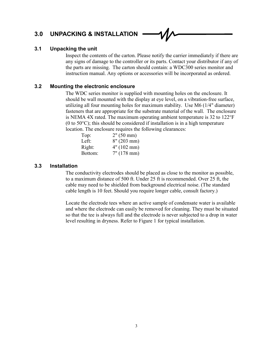### **3.0 UNPACKING & INSTALLATION**

#### **3.1 Unpacking the unit**

Inspect the contents of the carton. Please notify the carrier immediately if there are any signs of damage to the controller or its parts. Contact your distributor if any of the parts are missing. The carton should contain: a WDC300 series monitor and instruction manual. Any options or accessories will be incorporated as ordered.

#### **3.2 Mounting the electronic enclosure**

The WDC series monitor is supplied with mounting holes on the enclosure. It should be wall mounted with the display at eye level, on a vibration-free surface, utilizing all four mounting holes for maximum stability. Use M6 (1/4" diameter) fasteners that are appropriate for the substrate material of the wall. The enclosure is NEMA 4X rated. The maximum operating ambient temperature is 32 to 122°F (0 to  $50^{\circ}$ C); this should be considered if installation is in a high temperature location. The enclosure requires the following clearances:

| Top:    | 2" (50 mm)     |
|---------|----------------|
| Left:   | $8''(203)$ mm) |
| Right:  | 4" (102 mm)    |
| Bottom: | 7" (178 mm)    |

#### **3.3 Installation**

The conductivity electrodes should be placed as close to the monitor as possible, to a maximum distance of 500 ft. Under 25 ft is recommended. Over 25 ft, the cable may need to be shielded from background electrical noise. (The standard cable length is 10 feet. Should you require longer cable, consult factory.)

Locate the electrode tees where an active sample of condensate water is available and where the electrode can easily be removed for cleaning. They must be situated so that the tee is always full and the electrode is never subjected to a drop in water level resulting in dryness. Refer to Figure 1 for typical installation.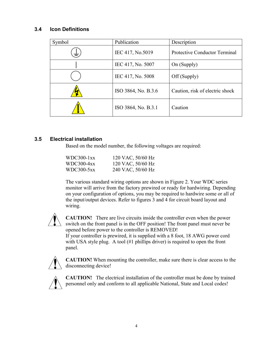#### **3.4 Icon Definitions**

| Symbol | Publication         | Description                          |
|--------|---------------------|--------------------------------------|
| › — .  | IEC 417, No.5019    | <b>Protective Conductor Terminal</b> |
|        | IEC 417, No. 5007   | On (Supply)                          |
|        | IEC 417, No. 5008   | Off (Supply)                         |
|        | ISO 3864, No. B.3.6 | Caution, risk of electric shock      |
|        | ISO 3864, No. B.3.1 | Caution                              |

#### **3.5 Electrical installation**

Based on the model number, the following voltages are required:

| WDC300-1xx | 120 VAC, 50/60 Hz |
|------------|-------------------|
| WDC300-4xx | 120 VAC, 50/60 Hz |
| WDC300-5xx | 240 VAC, 50/60 Hz |

The various standard wiring options are shown in Figure 2. Your WDC series monitor will arrive from the factory prewired or ready for hardwiring. Depending on your configuration of options, you may be required to hardwire some or all of the input/output devices. Refer to figures 3 and 4 for circuit board layout and wiring.



**CAUTION!** There are live circuits inside the controller even when the power switch on the front panel is in the OFF position! The front panel must never be opened before power to the controller is REMOVED! If your controller is prewired, it is supplied with a 8 foot, 18 AWG power cord with USA style plug. A tool (#1 phillips driver) is required to open the front panel.



**CAUTION!** When mounting the controller, make sure there is clear access to the disconnecting device!



**CAUTION!** The electrical installation of the controller must be done by trained personnel only and conform to all applicable National, State and Local codes!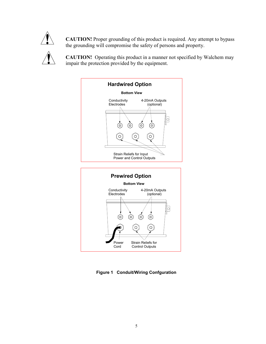

**CAUTION!** Proper grounding of this product is required. Any attempt to bypass the grounding will compromise the safety of persons and property.

**CAUTION!** Operating this product in a manner not specified by Walchem may impair the protection provided by the equipment.



**Figure 1 Conduit/Wiring Confguration**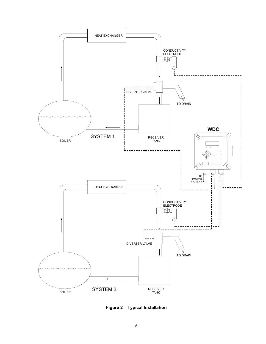

**Figure 2 Typical Installation**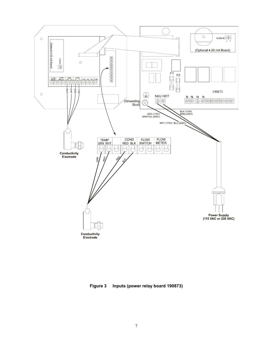

**Figure 3 Inputs (power relay board 190873)**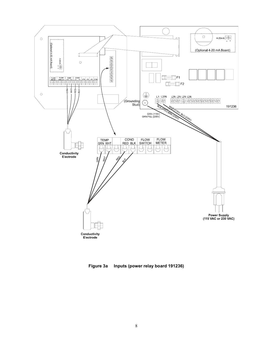

**Figure 3a Inputs (power relay board 191236)**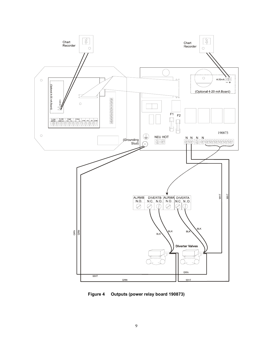

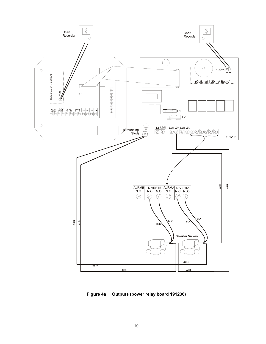

**Figure 4a Outputs (power relay board 191236)**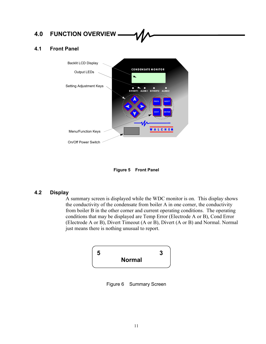## **4.0 FUNCTION OVERVIEW**

#### **4.1 Front Panel**



**Figure 5 Front Panel** 

#### **4.2 Display**

A summary screen is displayed while the WDC monitor is on. This display shows the conductivity of the condensate from boiler A in one corner, the conductivity from boiler B in the other corner and current operating conditions. The operating conditions that may be displayed are Temp Error (Electrode A or B), Cond Error (Electrode A or B), Divert Timeout (A or B), Divert (A or B) and Normal. Normal just means there is nothing unusual to report.



Figure 6 Summary Screen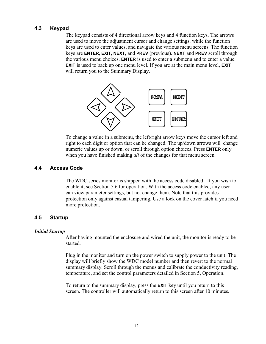#### **4.3 Keypad**

The keypad consists of 4 directional arrow keys and 4 function keys. The arrows are used to move the adjustment cursor and change settings, while the function keys are used to enter values, and navigate the various menu screens. The function keys are **ENTER, EXIT, NEXT**, and **PREV** (previous). **NEXT** and **PREV** scroll through the various menu choices. **ENTER** is used to enter a submenu and to enter a value. **EXIT** is used to back up one menu level. If you are at the main menu level, **EXIT** will return you to the Summary Display.



To change a value in a submenu, the left/right arrow keys move the cursor left and right to each digit or option that can be changed. The up/down arrows will change numeric values up or down, or scroll through option choices. Press **ENTER** only when you have finished making *all* of the changes for that menu screen.

#### **4.4 Access Code**

The WDC series monitor is shipped with the access code disabled. If you wish to enable it, see Section 5.6 for operation. With the access code enabled, any user can view parameter settings, but not change them. Note that this provides protection only against casual tampering. Use a lock on the cover latch if you need more protection.

#### **4.5 Startup**

#### *Initial Startup*

After having mounted the enclosure and wired the unit, the monitor is ready to be started.

Plug in the monitor and turn on the power switch to supply power to the unit. The display will briefly show the WDC model number and then revert to the normal summary display. Scroll through the menus and calibrate the conductivity reading, temperature, and set the control parameters detailed in Section 5, Operation.

To return to the summary display, press the **EXIT** key until you return to this screen. The controller will automatically return to this screen after 10 minutes.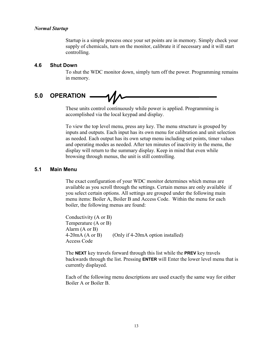#### *Normal Startup*

Startup is a simple process once your set points are in memory. Simply check your supply of chemicals, turn on the monitor, calibrate it if necessary and it will start controlling.

#### **4.6 Shut Down**

To shut the WDC monitor down, simply turn off the power. Programming remains in memory.

#### **5.0 OPERATION**  1Л,

These units control continuously while power is applied. Programming is accomplished via the local keypad and display.

To view the top level menu, press any key. The menu structure is grouped by inputs and outputs. Each input has its own menu for calibration and unit selection as needed. Each output has its own setup menu including set points, timer values and operating modes as needed. After ten minutes of inactivity in the menu, the display will return to the summary display. Keep in mind that even while browsing through menus, the unit is still controlling.

#### **5.1 Main Menu**

The exact configuration of your WDC monitor determines which menus are available as you scroll through the settings. Certain menus are only available if you select certain options. All settings are grouped under the following main menu items: Boiler A, Boiler B and Access Code. Within the menu for each boiler, the following menus are found:

Conductivity (A or B) Temperature (A or B) Alarm (A or B) 4-20mA (A or B) (Only if 4-20mA option installed) Access Code

The **NEXT** key travels forward through this list while the **PREV** key travels backwards through the list. Pressing **ENTER** will Enter the lower level menu that is currently displayed.

Each of the following menu descriptions are used exactly the same way for either Boiler A or Boiler B.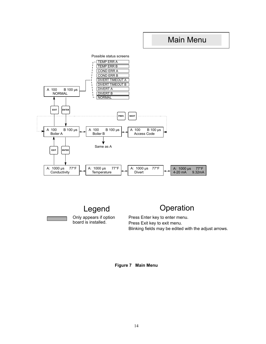### Main Menu



Only appears if option board is installed. Legend

### **Operation**

Press Enter key to enter menu. Press Exit key to exit menu. Blinking fields may be edited with the adjust arrows.

**Figure 7 Main Menu**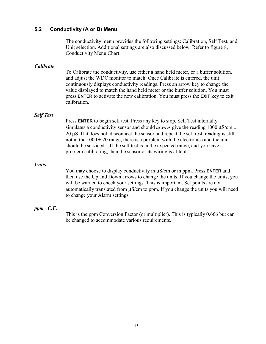#### **5.2 Conductivity (A or B) Menu**

The conductivity menu provides the following settings: Calibration, Self Test, and Unit selection. Additional settings are also discussed below. Refer to figure 8, Conductivity Menu Chart.

#### *Calibrate*

To Calibrate the conductivity, use either a hand held meter, or a buffer solution, and adjust the WDC monitor to match. Once Calibrate is entered, the unit continuously displays conductivity readings. Press an arrow key to change the value displayed to match the hand held meter or the buffer solution. You must press **ENTER** to activate the new calibration. You must press the **EXIT** key to exit calibration.

#### *Self Test*

Press **ENTER** to begin self test. Press any key to stop. Self Test internally simulates a conductivity sensor and should *always* give the reading 1000  $\mu$ S/cm  $\pm$ 20 µS. If it does not, disconnect the sensor and repeat the self test, reading is still not in the  $1000 \pm 20$  range, there is a problem with the electronics and the unit should be serviced. If the self test is in the expected range, and you have a problem calibrating, then the sensor or its wiring is at fault.

#### *Units*

You may choose to display conductivity in µS/cm or in ppm. Press **ENTER** and then use the Up and Down arrows to change the units. If you change the units, you will be warned to check your settings. This is important. Set points are not automatically translated from µS/cm to ppm. If you change the units you will need to change your Alarm settings.

#### *ppm C.F.*

This is the ppm Conversion Factor (or multiplier). This is typically 0.666 but can be changed to accommodate various requirements.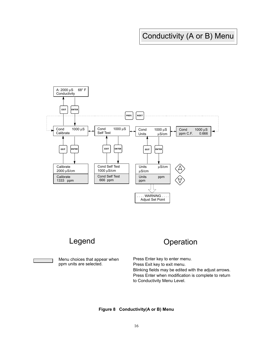## Conductivity (A or B) Menu





Menu choices that appear when ppm units are selected.

## Legend Operation

Press Enter key to enter menu. Press Exit key to exit menu. Blinking fields may be edited with the adjust arrows. Press Enter when modification is complete to return to Conductivity Menu Level.

#### **Figure 8 Conductivity(A or B) Menu**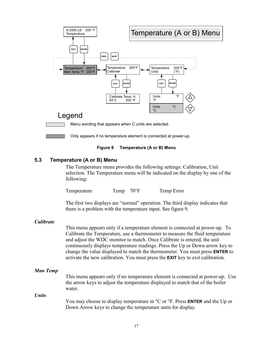

#### **5.3 Temperature (A or B) Menu**

The Temperature menu provides the following settings: Calibration, Unit selection. The Temperature menu will be indicated on the display by one of the following:

Temperature Temp 70°F Temp Error

The first two displays are "normal" operation. The third display indicates that there is a problem with the temperature input. See figure 9.

#### *Calibrate*

This menu appears only if a temperature element is connected at power-up. To Calibrate the Temperature, use a thermometer to measure the fluid temperature and adjust the WDC monitor to match. Once Calibrate is entered, the unit continuously displays temperature readings. Press the Up or Down arrow key to change the value displayed to match the thermometer. You must press **ENTER** to activate the new calibration. You must press the **EXIT** key to exit calibration.

#### *Man Temp*

This menu appears only if no temperature element is connected at power-up. Use the arrow keys to adjust the temperature displayed to match that of the boiler water.

*Units* 

You may choose to display temperature in °C or °F. Press **ENTER** and the Up or Down Arrow keys to change the temperature units for display.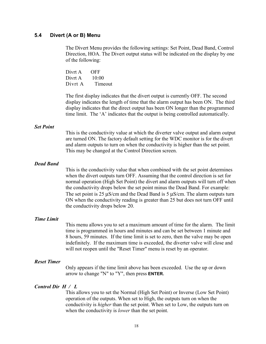#### **5.4 Divert (A or B) Menu**

The Divert Menu provides the following settings: Set Point, Dead Band, Control Direction, HOA. The Divert output status will be indicated on the display by one of the following:

| Divrt A | OFF     |
|---------|---------|
| Divrt A | 10:00   |
| Divrt A | Timeout |

The first display indicates that the divert output is currently OFF. The second display indicates the length of time that the alarm output has been ON. The third display indicates that the direct output has been ON longer than the programmed time limit. The 'A' indicates that the output is being controlled automatically.

#### *Set Point*

This is the conductivity value at which the diverter valve output and alarm output are turned ON. The factory default setting for the WDC monitor is for the divert and alarm outputs to turn on when the conductivity is higher than the set point. This may be changed at the Control Direction screen.

#### *Dead Band*

This is the conductivity value that when combined with the set point determines when the divert outputs turn OFF. Assuming that the control direction is set for normal operation (High Set Point) the divert and alarm outputs will turn off when the conductivity drops below the set point minus the Dead Band. For example: The set point is 25  $\mu$ S/cm and the Dead Band is 5  $\mu$ S/cm. The alarm outputs turn ON when the conductivity reading is greater than 25 but does not turn OFF until the conductivity drops below 20.

#### *Time Limit*

This menu allows you to set a maximum amount of time for the alarm. The limit time is programmed in hours and minutes and can be set between 1 minute and 8 hours, 59 minutes. If the time limit is set to zero, then the valve may be open indefinitely. If the maximum time is exceeded, the diverter valve will close and will not reopen until the "Reset Timer" menu is reset by an operator.

#### *Reset Timer*

Only appears if the time limit above has been exceeded. Use the up or down arrow to change "N" to "Y", then press **ENTER.** 

#### *Control Dir H / L*

This allows you to set the Normal (High Set Point) or Inverse (Low Set Point) operation of the outputs. When set to High, the outputs turn on when the conductivity is *higher* than the set point. When set to Low, the outputs turn on when the conductivity is *lower* than the set point.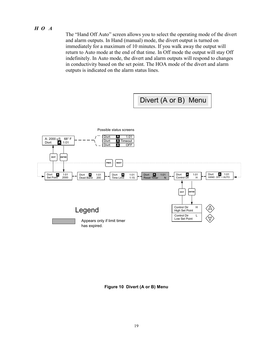#### *H O A*

The "Hand Off Auto" screen allows you to select the operating mode of the divert and alarm outputs. In Hand (manual) mode, the divert output is turned on immediately for a maximum of 10 minutes. If you walk away the output will return to Auto mode at the end of that time. In Off mode the output will stay Off indefinitely. In Auto mode, the divert and alarm outputs will respond to changes in conductivity based on the set point. The HOA mode of the divert and alarm outputs is indicated on the alarm status lines.



**Figure 10 Divert (A or B) Menu**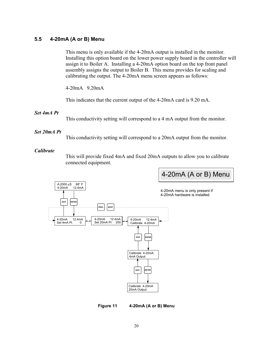#### **5.5 4-20mA (A or B) Menu**

This menu is only available if the 4-20mA output is installed in the monitor. Installing this option board on the lower power supply board in the controller will assign it to Boiler A. Installing a 4-20mA option board on the top front panel assembly assigns the output to Boiler B. This menu provides for scaling and calibrating the output. The 4-20mA menu screen appears as follows:

4-20mA 9.20mA

This indicates that the current output of the 4-20mA card is 9.20 mA.

#### *Set 4mA Pt*

This conductivity setting will correspond to a 4 mA output from the monitor.

#### *Set 20mA Pt*

This conductivity setting will correspond to a 20mA output from the monitor.

#### *Calibrate*

This will provide fixed 4mA and fixed 20mA outputs to allow you to calibrate connected equipment.



#### **Figure 11 4-20mA (A or B) Menu**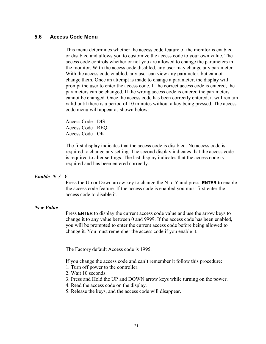#### **5.6 Access Code Menu**

This menu determines whether the access code feature of the monitor is enabled or disabled and allows you to customize the access code to your own value. The access code controls whether or not you are allowed to change the parameters in the monitor. With the access code disabled, any user may change any parameter. With the access code enabled, any user can view any parameter, but cannot change them. Once an attempt is made to change a parameter, the display will prompt the user to enter the access code. If the correct access code is entered, the parameters can be changed. If the wrong access code is entered the parameters cannot be changed. Once the access code has been correctly entered, it will remain valid until there is a period of 10 minutes without a key being pressed. The access code menu will appear as shown below:

Access Code DIS Access Code REQ Access Code OK

The first display indicates that the access code is disabled. No access code is required to change any setting. The second display indicates that the access code is required to alter settings. The last display indicates that the access code is required and has been entered correctly.

#### *Enable N / Y*

Press the Up or Down arrow key to change the N to Y and press **ENTER** to enable the access code feature. If the access code is enabled you must first enter the access code to disable it.

#### *New Value*

Press **ENTER** to display the current access code value and use the arrow keys to change it to any value between 0 and 9999. If the access code has been enabled, you will be prompted to enter the current access code before being allowed to change it. You must remember the access code if you enable it.

The Factory default Access code is 1995.

If you change the access code and can't remember it follow this procedure:

- 1. Turn off power to the controller.
- 2. Wait 10 seconds.
- 3. Press and Hold the UP and DOWN arrow keys while turning on the power.
- 4. Read the access code on the display.
- 5. Release the keys, and the access code will disappear.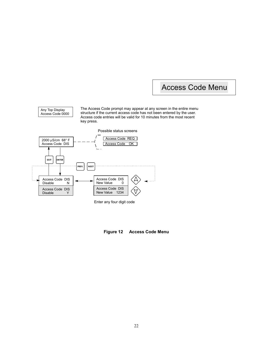### Access Code Menu

The Access Code prompt may appear at any screen in the entire menu structure if the current access code has not been entered by the user. Access code entries will be valid for 10 minutes from the most recent key press.



Any Top Display Access Code 0000

Enter any four digit code

**Figure 12 Access Code Menu**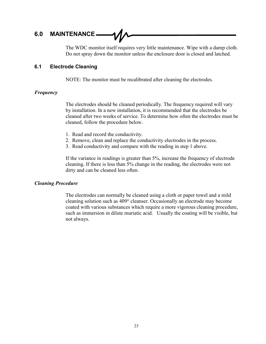### **6.0 MAINTENANCE**

The WDC monitor itself requires very little maintenance. Wipe with a damp cloth. Do not spray down the monitor unless the enclosure door is closed and latched.

#### **6.1 Electrode Cleaning**

NOTE: The monitor must be recalibrated after cleaning the electrodes.

#### *Frequency*

The electrodes should be cleaned periodically. The frequency required will vary by installation. In a new installation, it is recommended that the electrodes be cleaned after two weeks of service. To determine how often the electrodes must be cleaned, follow the procedure below.

- 1. Read and record the conductivity.
- 2. Remove, clean and replace the conductivity electrodes in the process.
- 3. Read conductivity and compare with the reading in step 1 above.

If the variance in readings is greater than 5%, increase the frequency of electrode cleaning. If there is less than 5% change in the reading, the electrodes were not dirty and can be cleaned less often.

#### *Cleaning Procedure*

The electrodes can normally be cleaned using a cloth or paper towel and a mild cleaning solution such as 409® cleanser. Occasionally an electrode may become coated with various substances which require a more vigorous cleaning procedure, such as immersion in dilute muriatic acid. Usually the coating will be visible, but not always.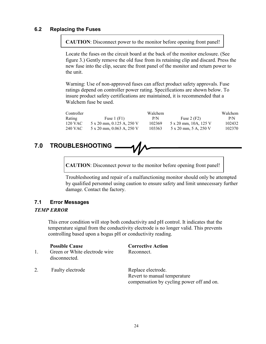#### **6.2 Replacing the Fuses**

**CAUTION**: Disconnect power to the monitor before opening front panel!

Locate the fuses on the circuit board at the back of the monitor enclosure. (See figure 3.) Gently remove the old fuse from its retaining clip and discard. Press the new fuse into the clip, secure the front panel of the monitor and return power to the unit.

Warning: Use of non-approved fuses can affect product safety approvals. Fuse ratings depend on controller power rating. Specifications are shown below. To insure product safety certifications are maintained, it is recommended that a Walchem fuse be used.

| Controller |                                  | Walchem |                       | Walchem |
|------------|----------------------------------|---------|-----------------------|---------|
| Rating     | Fuse $1$ (F1)                    | P/N     | Fuse $2(F2)$          | P/N     |
| 120 VAC    | $5 \times 20$ mm, 0.125 A, 250 V | 102369  | 5 x 20 mm, 10A, 125 V | 102432  |
| 240 VAC    | $5 \times 20$ mm, 0.063 A, 250 V | 103363  | 5 x 20 mm, 5 A, 250 V | 102370  |

## **7.0 TROUBLESHOOTING**

**CAUTION**: Disconnect power to the monitor before opening front panel!

Troubleshooting and repair of a malfunctioning monitor should only be attempted by qualified personnel using caution to ensure safety and limit unnecessary further damage. Contact the factory.

#### **7.1 Error Messages**

#### *TEMP ERROR*

This error condition will stop both conductivity and pH control. It indicates that the temperature signal from the conductivity electrode is no longer valid. This prevents controlling based upon a bogus pH or conductivity reading.

- 1. Green or White electrode wire Reconnect. disconnected.
- 2. Faulty electrode Replace electrode.

**Possible Cause Corrective Action** 

 Revert to manual temperature compensation by cycling power off and on.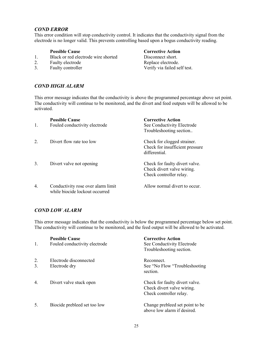#### *COND ERROR*

This error condition will stop conductivity control. It indicates that the conductivity signal from the electrode is no longer valid. This prevents controlling based upon a bogus conductivity reading.

- 1. Black or red electrode wire shorted Disconnect short.
- 2. Faulty electrode Replace electrode.
- 

#### **Possible Cause Corrective Action**

3. Faulty controller Verify via failed self test.

#### *COND HIGH ALARM*

This error message indicates that the conductivity is above the programmed percentage above set point. The conductivity will continue to be monitored, and the divert and feed outputs will be allowed to be activated.

| 1.               | <b>Possible Cause</b><br>Fouled conductivity electrode               | <b>Corrective Action</b><br>See Conductivity Electrode<br>Troubleshooting section       |
|------------------|----------------------------------------------------------------------|-----------------------------------------------------------------------------------------|
| $\overline{2}$ . | Divert flow rate too low                                             | Check for clogged strainer.<br>Check for insufficient pressure<br>differential.         |
| 3.               | Divert valve not opening                                             | Check for faulty divert valve.<br>Check divert valve wiring.<br>Check controller relay. |
| $\overline{4}$ . | Conductivity rose over alarm limit<br>while biocide lockout occurred | Allow normal divert to occur.                                                           |

#### *COND LOW ALARM*

This error message indicates that the conductivity is below the programmed percentage below set point. The conductivity will continue to be monitored, and the feed output will be allowed to be activated.

| $\mathbf{1}$ . | <b>Possible Cause</b><br>Fouled conductivity electrode | <b>Corrective Action</b><br>See Conductivity Electrode<br>Troubleshooting section.      |
|----------------|--------------------------------------------------------|-----------------------------------------------------------------------------------------|
| 2.<br>3.       | Electrode disconnected<br>Electrode dry                | Reconnect.<br>See "No Flow "Troubleshooting"<br>section.                                |
| 4.             | Divert valve stuck open                                | Check for faulty divert valve.<br>Check divert valve wiring.<br>Check controller relay. |
| 5.             | Biocide prebleed set too low                           | Change prebleed set point to be<br>above low alarm if desired.                          |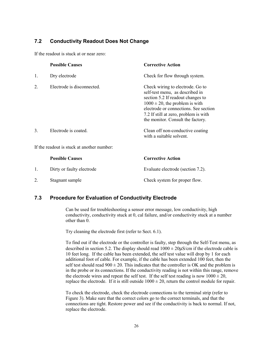#### **7.2 Conductivity Readout Does Not Change**

If the readout is stuck at or near zero:

|                                            | <b>Possible Causes</b>     | <b>Corrective Action</b>                                                                                                                                                                                                                                               |  |
|--------------------------------------------|----------------------------|------------------------------------------------------------------------------------------------------------------------------------------------------------------------------------------------------------------------------------------------------------------------|--|
| 1.                                         | Dry electrode              | Check for flow through system.                                                                                                                                                                                                                                         |  |
| 2.                                         | Electrode is disconnected. | Check wiring to electrode. Go to<br>self-test menu, as described in<br>section 5.2 If readout changes to<br>$1000 \pm 20$ , the problem is with<br>electrode or connections. See section<br>7.2 If still at zero, problem is with<br>the monitor. Consult the factory. |  |
| 3.                                         | Electrode is coated.       | Clean off non-conductive coating<br>with a suitable solvent.                                                                                                                                                                                                           |  |
| If the readout is stuck at another number: |                            |                                                                                                                                                                                                                                                                        |  |
|                                            | <b>Possible Causes</b>     | <b>Corrective Action</b>                                                                                                                                                                                                                                               |  |
| 1.                                         | Dirty or faulty electrode  | Evaluate electrode (section 7.2).                                                                                                                                                                                                                                      |  |
| 2.                                         | Stagnant sample            | Check system for proper flow.                                                                                                                                                                                                                                          |  |

#### **7.3 Procedure for Evaluation of Conductivity Electrode**

Can be used for troubleshooting a sensor error message, low conductivity, high conductivity, conductivity stuck at 0, cal failure, and/or conductivity stuck at a number other than 0.

Try cleaning the electrode first (refer to Sect. 6.1).

To find out if the electrode or the controller is faulty, step through the Self-Test menu, as described in section 5.2. The display should read  $1000 \pm 20 \mu$ S/cm if the electrode cable is 10 feet long. If the cable has been extended, the self test value will drop by 1 for each additional foot of cable. For example, if the cable has been extended 100 feet, then the self test should read  $900 \pm 20$ . This indicates that the controller is OK and the problem is in the probe or its connections. If the conductivity reading is not within this range, remove the electrode wires and repeat the self test. If the self test reading is now  $1000 \pm 20$ , replace the electrode. If it is still outside  $1000 \pm 20$ , return the control module for repair.

To check the electrode, check the electrode connections to the terminal strip (refer to Figure 3). Make sure that the correct colors go to the correct terminals, and that the connections are tight. Restore power and see if the conductivity is back to normal. If not, replace the electrode.